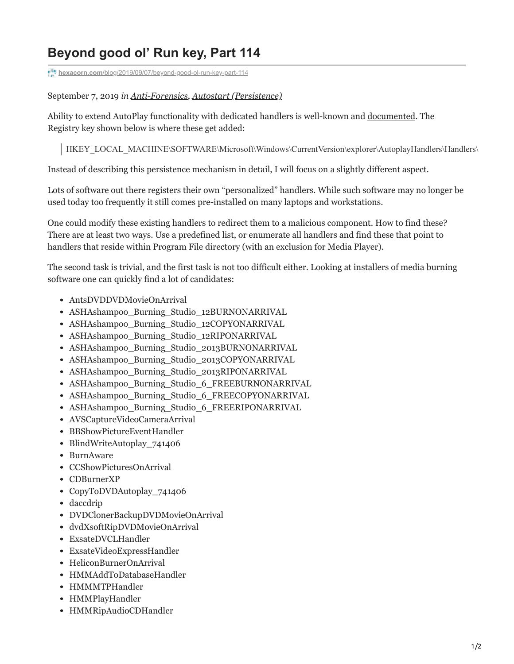## **Beyond good ol' Run key, Part 114**

**hexacorn.com**[/blog/2019/09/07/beyond-good-ol-run-key-part-114](https://www.hexacorn.com/blog/2019/09/07/beyond-good-ol-run-key-part-114/)

## September 7, 2019 *in [Anti-Forensics,](https://www.hexacorn.com/blog/category/anti-forensics/) [Autostart \(Persistence\)](https://www.hexacorn.com/blog/category/autostart-persistence/)*

Ability to extend AutoPlay functionality with dedicated handlers is well-known and [documented.](https://docs.microsoft.com/en-us/windows/win32/shell/how-to-register-a-handler-for-a-device-event) The Registry key shown below is where these get added:

HKEY\_LOCAL\_MACHINE\SOFTWARE\Microsoft\Windows\CurrentVersion\explorer\AutoplayHandlers\Handlers\

Instead of describing this persistence mechanism in detail, I will focus on a slightly different aspect.

Lots of software out there registers their own "personalized" handlers. While such software may no longer be used today too frequently it still comes pre-installed on many laptops and workstations.

One could modify these existing handlers to redirect them to a malicious component. How to find these? There are at least two ways. Use a predefined list, or enumerate all handlers and find these that point to handlers that reside within Program File directory (with an exclusion for Media Player).

The second task is trivial, and the first task is not too difficult either. Looking at installers of media burning software one can quickly find a lot of candidates:

- AntsDVDDVDMovieOnArrival
- ASHAshampoo\_Burning\_Studio\_12BURNONARRIVAL
- ASHAshampoo Burning Studio 12COPYONARRIVAL
- ASHAshampoo\_Burning\_Studio\_12RIPONARRIVAL
- ASHAshampoo\_Burning\_Studio\_2013BURNONARRIVAL
- ASHAshampoo\_Burning\_Studio\_2013COPYONARRIVAL
- ASHAshampoo Burning Studio 2013RIPONARRIVAL
- ASHAshampoo Burning Studio 6 FREEBURNONARRIVAL
- ASHAshampoo Burning Studio 6 FREECOPYONARRIVAL
- ASHAshampoo Burning Studio 6 FREERIPONARRIVAL
- AVSCaptureVideoCameraArrival
- BBShowPictureEventHandler
- BlindWriteAutoplay 741406
- BurnAware
- CCShowPicturesOnArrival
- CDBurnerXP
- CopyToDVDAutoplay 741406
- daccdrip
- DVDClonerBackupDVDMovieOnArrival
- dvdXsoftRipDVDMovieOnArrival
- ExsateDVCLHandler
- ExsateVideoExpressHandler
- HeliconBurnerOnArrival
- HMMAddToDatabaseHandler
- HMMMTPHandler
- HMMPlayHandler
- HMMRipAudioCDHandler